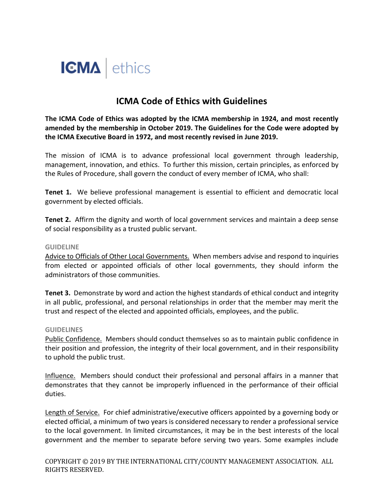

# **ICMA Code of Ethics with Guidelines**

**The ICMA Code of Ethics was adopted by the ICMA membership in 1924, and most recently amended by the membership in October 2019. The Guidelines for the Code were adopted by the ICMA Executive Board in 1972, and most recently revised in June 2019.** 

The mission of ICMA is to advance professional local government through leadership, management, innovation, and ethics. To further this mission, certain principles, as enforced by the Rules of Procedure, shall govern the conduct of every member of ICMA, who shall:

**Tenet 1.** We believe professional management is essential to efficient and democratic local government by elected officials.

**Tenet 2.** Affirm the dignity and worth of local government services and maintain a deep sense of social responsibility as a trusted public servant.

#### **GUIDELINE**

Advice to Officials of Other Local Governments. When members advise and respond to inquiries from elected or appointed officials of other local governments, they should inform the administrators of those communities.

**Tenet 3.** Demonstrate by word and action the highest standards of ethical conduct and integrity in all public, professional, and personal relationships in order that the member may merit the trust and respect of the elected and appointed officials, employees, and the public.

#### **GUIDELINES**

Public Confidence. Members should conduct themselves so as to maintain public confidence in their position and profession, the integrity of their local government, and in their responsibility to uphold the public trust.

Influence. Members should conduct their professional and personal affairs in a manner that demonstrates that they cannot be improperly influenced in the performance of their official duties.

Length of Service. For chief administrative/executive officers appointed by a governing body or elected official, a minimum of two years is considered necessary to render a professional service to the local government. In limited circumstances, it may be in the best interests of the local government and the member to separate before serving two years. Some examples include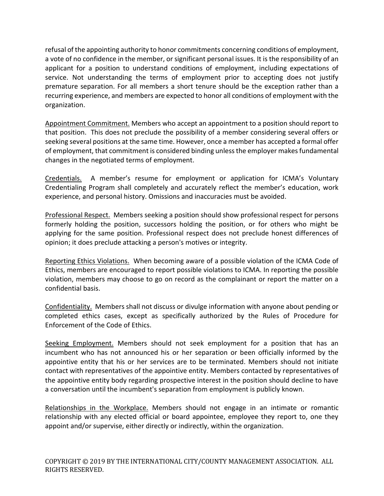refusal of the appointing authority to honor commitments concerning conditions of employment, a vote of no confidence in the member, or significant personal issues. It is the responsibility of an applicant for a position to understand conditions of employment, including expectations of service. Not understanding the terms of employment prior to accepting does not justify premature separation. For all members a short tenure should be the exception rather than a recurring experience, and members are expected to honor all conditions of employment with the organization.

Appointment Commitment. Members who accept an appointment to a position should report to that position. This does not preclude the possibility of a member considering several offers or seeking several positions at the same time. However, once a member has accepted a formal offer of employment, that commitment is considered binding unless the employer makes fundamental changes in the negotiated terms of employment.

Credentials. A member's resume for employment or application for ICMA's Voluntary Credentialing Program shall completely and accurately reflect the member's education, work experience, and personal history. Omissions and inaccuracies must be avoided.

Professional Respect. Members seeking a position should show professional respect for persons formerly holding the position, successors holding the position, or for others who might be applying for the same position. Professional respect does not preclude honest differences of opinion; it does preclude attacking a person's motives or integrity.

Reporting Ethics Violations. When becoming aware of a possible violation of the ICMA Code of Ethics, members are encouraged to report possible violations to ICMA. In reporting the possible violation, members may choose to go on record as the complainant or report the matter on a confidential basis.

Confidentiality. Members shall not discuss or divulge information with anyone about pending or completed ethics cases, except as specifically authorized by the Rules of Procedure for Enforcement of the Code of Ethics.

Seeking Employment. Members should not seek employment for a position that has an incumbent who has not announced his or her separation or been officially informed by the appointive entity that his or her services are to be terminated. Members should not initiate contact with representatives of the appointive entity. Members contacted by representatives of the appointive entity body regarding prospective interest in the position should decline to have a conversation until the incumbent's separation from employment is publicly known.

Relationships in the Workplace. Members should not engage in an intimate or romantic relationship with any elected official or board appointee, employee they report to, one they appoint and/or supervise, either directly or indirectly, within the organization.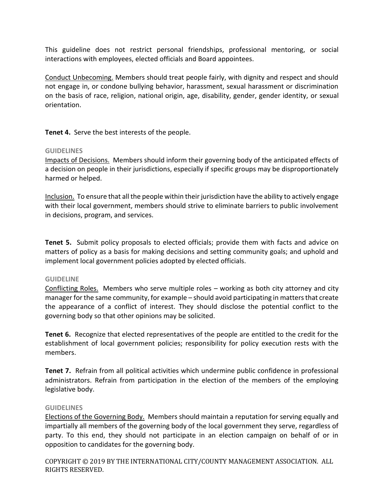This guideline does not restrict personal friendships, professional mentoring, or social interactions with employees, elected officials and Board appointees.

Conduct Unbecoming. Members should treat people fairly, with dignity and respect and should not engage in, or condone bullying behavior, harassment, sexual harassment or discrimination on the basis of race, religion, national origin, age, disability, gender, gender identity, or sexual orientation.

**Tenet 4.** Serve the best interests of the people.

## **GUIDELINES**

Impacts of Decisions. Members should inform their governing body of the anticipated effects of a decision on people in their jurisdictions, especially if specific groups may be disproportionately harmed or helped.

Inclusion. To ensure that all the people within their jurisdiction have the ability to actively engage with their local government, members should strive to eliminate barriers to public involvement in decisions, program, and services.

**Tenet 5.** Submit policy proposals to elected officials; provide them with facts and advice on matters of policy as a basis for making decisions and setting community goals; and uphold and implement local government policies adopted by elected officials.

# **GUIDELINE**

Conflicting Roles. Members who serve multiple roles – working as both city attorney and city manager for the same community, for example – should avoid participating in matters that create the appearance of a conflict of interest. They should disclose the potential conflict to the governing body so that other opinions may be solicited.

**Tenet 6.** Recognize that elected representatives of the people are entitled to the credit for the establishment of local government policies; responsibility for policy execution rests with the members.

**Tenet 7.** Refrain from all political activities which undermine public confidence in professional administrators. Refrain from participation in the election of the members of the employing legislative body.

#### **GUIDELINES**

Elections of the Governing Body. Members should maintain a reputation for serving equally and impartially all members of the governing body of the local government they serve, regardless of party. To this end, they should not participate in an election campaign on behalf of or in opposition to candidates for the governing body.

COPYRIGHT © 2019 BY THE INTERNATIONAL CITY/COUNTY MANAGEMENT ASSOCIATION. ALL RIGHTS RESERVED.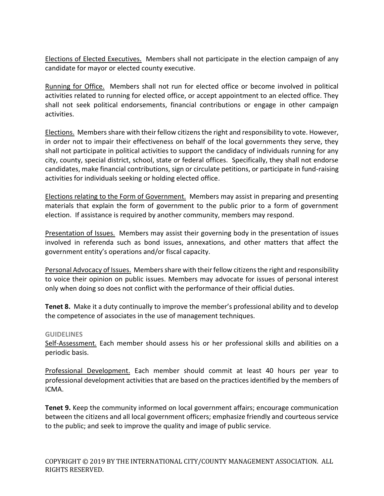Elections of Elected Executives. Members shall not participate in the election campaign of any candidate for mayor or elected county executive.

Running for Office. Members shall not run for elected office or become involved in political activities related to running for elected office, or accept appointment to an elected office. They shall not seek political endorsements, financial contributions or engage in other campaign activities.

Elections. Members share with their fellow citizens the right and responsibility to vote. However, in order not to impair their effectiveness on behalf of the local governments they serve, they shall not participate in political activities to support the candidacy of individuals running for any city, county, special district, school, state or federal offices. Specifically, they shall not endorse candidates, make financial contributions, sign or circulate petitions, or participate in fund-raising activities for individuals seeking or holding elected office.

Elections relating to the Form of Government. Members may assist in preparing and presenting materials that explain the form of government to the public prior to a form of government election. If assistance is required by another community, members may respond.

Presentation of Issues. Members may assist their governing body in the presentation of issues involved in referenda such as bond issues, annexations, and other matters that affect the government entity's operations and/or fiscal capacity.

Personal Advocacy of Issues. Members share with their fellow citizens the right and responsibility to voice their opinion on public issues. Members may advocate for issues of personal interest only when doing so does not conflict with the performance of their official duties.

**Tenet 8.** Make it a duty continually to improve the member's professional ability and to develop the competence of associates in the use of management techniques.

# **GUIDELINES**

Self-Assessment*.* Each member should assess his or her professional skills and abilities on a periodic basis.

Professional Development. Each member should commit at least 40 hours per year to professional development activities that are based on the practices identified by the members of ICMA.

**Tenet 9.** Keep the community informed on local government affairs; encourage communication between the citizens and all local government officers; emphasize friendly and courteous service to the public; and seek to improve the quality and image of public service.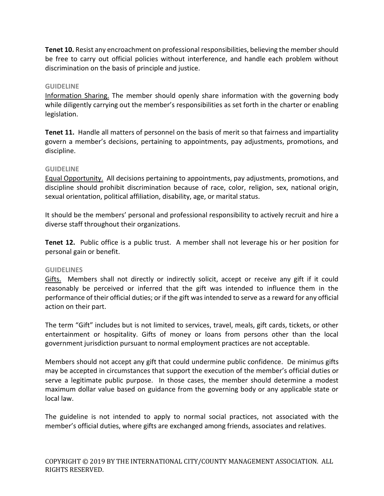**Tenet 10.** Resist any encroachment on professional responsibilities, believing the member should be free to carry out official policies without interference, and handle each problem without discrimination on the basis of principle and justice.

#### **GUIDELINE**

Information Sharing. The member should openly share information with the governing body while diligently carrying out the member's responsibilities as set forth in the charter or enabling legislation.

**Tenet 11.** Handle all matters of personnel on the basis of merit so that fairness and impartiality govern a member's decisions, pertaining to appointments, pay adjustments, promotions, and discipline.

## **GUIDELINE**

Equal Opportunity. All decisions pertaining to appointments, pay adjustments, promotions, and discipline should prohibit discrimination because of race, color, religion, sex, national origin, sexual orientation, political affiliation, disability, age, or marital status.

It should be the members' personal and professional responsibility to actively recruit and hire a diverse staff throughout their organizations.

**Tenet 12.** Public office is a public trust. A member shall not leverage his or her position for personal gain or benefit.

# **GUIDELINES**

Gifts. Members shall not directly or indirectly solicit, accept or receive any gift if it could reasonably be perceived or inferred that the gift was intended to influence them in the performance of their official duties; or if the gift was intended to serve as a reward for any official action on their part.

The term "Gift" includes but is not limited to services, travel, meals, gift cards, tickets, or other entertainment or hospitality. Gifts of money or loans from persons other than the local government jurisdiction pursuant to normal employment practices are not acceptable.

Members should not accept any gift that could undermine public confidence. De minimus gifts may be accepted in circumstances that support the execution of the member's official duties or serve a legitimate public purpose. In those cases, the member should determine a modest maximum dollar value based on guidance from the governing body or any applicable state or local law.

The guideline is not intended to apply to normal social practices, not associated with the member's official duties, where gifts are exchanged among friends, associates and relatives.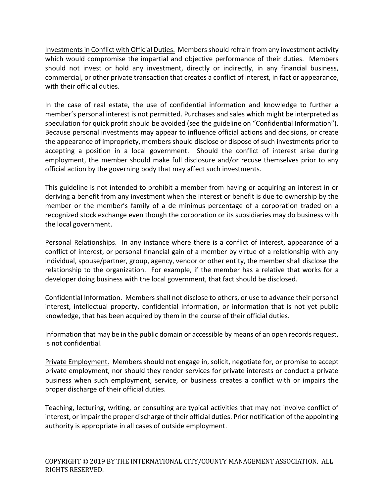Investments in Conflict with Official Duties. Members should refrain from any investment activity which would compromise the impartial and objective performance of their duties. Members should not invest or hold any investment, directly or indirectly, in any financial business, commercial, or other private transaction that creates a conflict of interest, in fact or appearance, with their official duties.

In the case of real estate, the use of confidential information and knowledge to further a member's personal interest is not permitted. Purchases and sales which might be interpreted as speculation for quick profit should be avoided (see the guideline on "Confidential Information"). Because personal investments may appear to influence official actions and decisions, or create the appearance of impropriety, members should disclose or dispose of such investments prior to accepting a position in a local government. Should the conflict of interest arise during employment, the member should make full disclosure and/or recuse themselves prior to any official action by the governing body that may affect such investments.

This guideline is not intended to prohibit a member from having or acquiring an interest in or deriving a benefit from any investment when the interest or benefit is due to ownership by the member or the member's family of a de minimus percentage of a corporation traded on a recognized stock exchange even though the corporation or its subsidiaries may do business with the local government.

Personal Relationships. In any instance where there is a conflict of interest, appearance of a conflict of interest, or personal financial gain of a member by virtue of a relationship with any individual, spouse/partner, group, agency, vendor or other entity, the member shall disclose the relationship to the organization. For example, if the member has a relative that works for a developer doing business with the local government, that fact should be disclosed.

Confidential Information. Members shall not disclose to others, or use to advance their personal interest, intellectual property, confidential information, or information that is not yet public knowledge, that has been acquired by them in the course of their official duties.

Information that may be in the public domain or accessible by means of an open records request, is not confidential.

Private Employment. Members should not engage in, solicit, negotiate for, or promise to accept private employment, nor should they render services for private interests or conduct a private business when such employment, service, or business creates a conflict with or impairs the proper discharge of their official duties.

Teaching, lecturing, writing, or consulting are typical activities that may not involve conflict of interest, or impair the proper discharge of their official duties. Prior notification of the appointing authority is appropriate in all cases of outside employment.